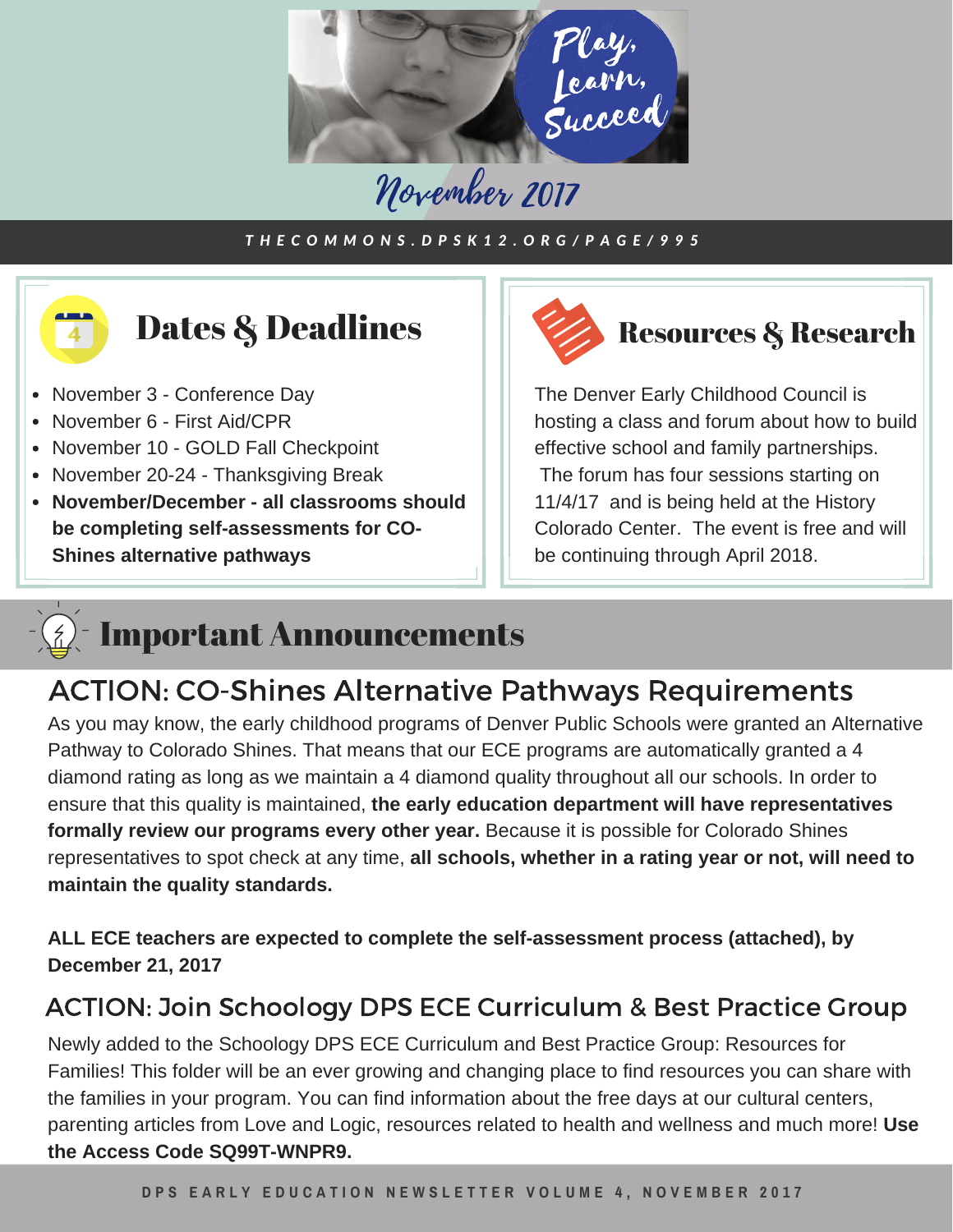

## November 2017

#### THECOMMONS.DPSK12.ORG/PAGE/995



**November/December - all classrooms should be completing self-assessments for CO-Shines alternative pathways**



The Denver Early Childhood Council is hosting a class and forum about how to build effective school and family partnerships. The forum has four sessions starting on 11/4/17 and is being held at the History Colorado Center. The event is free and will be continuing through April 2018.

### Important Announcements

#### ACTION: CO-Shines Alternative Pathways Requirements

As you may know, the early childhood programs of Denver Public Schools were granted an Alternative Pathway to Colorado Shines. That means that our ECE programs are automatically granted a 4 diamond rating as long as we maintain a 4 diamond quality throughout all our schools. In order to ensure that this quality is maintained, **the early education department will have representatives formally review our programs every other year.** Because it is possible for Colorado Shines representatives to spot check at any time, **all schools, whether in a rating year or not, will need to maintain the quality standards.**

**ALL ECE teachers are expected to complete the self-assessment process (attached), by December 21, 2017**

#### ACTION: Join Schoology DPS ECE Curriculum & Best Practice Group

Newly added to the Schoology DPS ECE Curriculum and Best Practice Group: Resources for Families! This folder will be an ever growing and changing place to find resources you can share with the families in your program. You can find information about the free days at our cultural centers, parenting articles from Love and Logic, resources related to health and wellness and much more! **Use the Access Code SQ99T-WNPR9.**